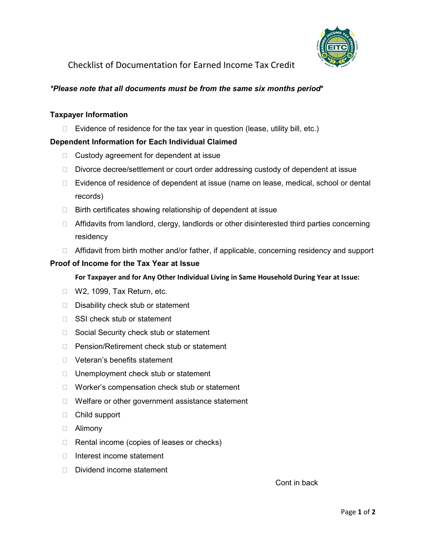

Checklist of Documentation for Earned Income Tax Credit

# *\*Please note that all documents must be from the same six months period***\***

## **Taxpayer Information**

 $\Box$  Evidence of residence for the tax year in question (lease, utility bill, etc.)

# **Dependent Information for Each Individual Claimed**

- $\Box$  Custody agreement for dependent at issue
- $\Box$  Divorce decree/settlement or court order addressing custody of dependent at issue
- □ Evidence of residence of dependent at issue (name on lease, medical, school or dental records)
- $\Box$  Birth certificates showing relationship of dependent at issue
- $\Box$  Affidavits from landlord, clergy, landlords or other disinterested third parties concerning residency
- $\Box$  Affidavit from birth mother and/or father, if applicable, concerning residency and support

#### **Proof of Income for the Tax Year at Issue**

 **For Taxpayer and for Any Other Individual Living in Same Household During Year at Issue:** 

- □ W2, 1099, Tax Return, etc.
- $\Box$  Disability check stub or statement
- □ SSI check stub or statement
- □ Social Security check stub or statement
- □ Pension/Retirement check stub or statement
- D Veteran's benefits statement
- $\Box$  Unemployment check stub or statement
- □ Worker's compensation check stub or statement
- $\Box$  Welfare or other government assistance statement
- Child support
- Alimony
- $\Box$  Rental income (copies of leases or checks)
- $\Box$  Interest income statement
- $\Box$  Dividend income statement

Cont in back